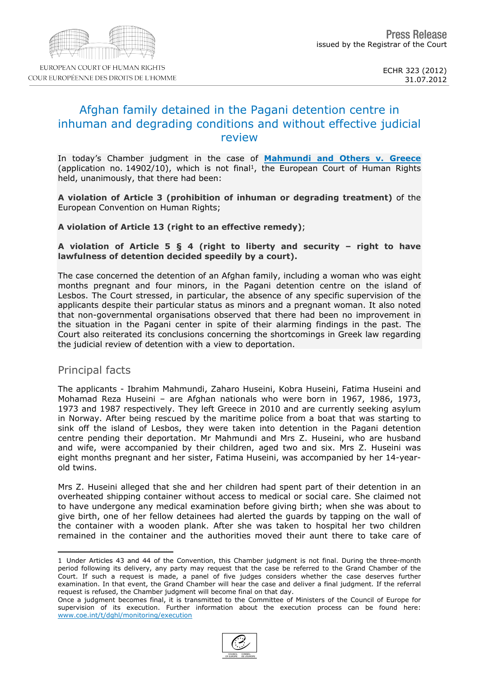# Afghan family detained in the Pagani detention centre in inhuman and degrading conditions and without effective iudicial review

In today's Chamber judgment in the case of [Mahmundi](http://hudoc.echr.coe.int/sites/fra/pages/search.aspx?i=001-112526) [and](http://hudoc.echr.coe.int/sites/fra/pages/search.aspx?i=001-112526) [Others](http://hudoc.echr.coe.int/sites/fra/pages/search.aspx?i=001-112526) [v.](http://hudoc.echr.coe.int/sites/fra/pages/search.aspx?i=001-112526) [Greece](http://hudoc.echr.coe.int/sites/fra/pages/search.aspx?i=001-112526) (application no. 14902/10), which is not final <sup>1</sup> , the European Court of Human Rights held, unanimously, that there had been:

A violation of Article 3 (prohibition of inhuman or degrading treatment) of the European Convention on Human Rights;

A violation of Article 13 (right to an effective remedy);

A violation of Article  $5 \tS 4$  (right to liberty and security – right to have lawfulness of detention decided speedily by a court).

The case concerned the detention of an Afghan family, including a woman who was eight months pregnant and four minors, in the Pagani detention centre on the island of Lesbos. The Court stressed, in particular, the absence of any specific supervision of the applicants despite their particular status as minors and a pregnant woman. It also noted that non-governmental organisations observed that there had been no improvement in the situation in the Pagani center in spite of their alarming findings in the past. The Court also reiterated its conclusions concerning the shortcomings in Greek law regarding the judicial review of detention with a view to deportation.

## Principal facts

The applicants - Ibrahim Mahmundi, Zaharo Huseini, Kobra Huseini, Fatima Huseini and Mohamad Reza Huseini – are Afghan nationals who were born in 1967, 1986, 1973, 1973 and 1987 respectively. They left Greece in 2010 and are currently seeking asylum in Norway. After being rescued by the maritime police from a boat that was starting to sink off the island of Lesbos, they were taken into detention in the Pagani detention centre pending their deportation. Mr Mahmundi and Mrs Z. Huseini, who are husband and wife, were accompanied by their children, aged two and six. Mrs Z. Huseini was eight months pregnant and her sister, Fatima Huseini, was accompanied by her 14-yearold twins.

Mrs Z. Huseini alleged that she and her children had spent part of their detention in an overheated shipping container without access to medical or social care. She claimed not to have undergone any medical examination before giving birth; when she was about to give birth, one of her fellow detainees had alerted the guards by tapping on the wall of the container with a wooden plank. After she was taken to hospital her two children remained in the container and the authorities moved their aunt there to take care of

<sup>1</sup> Under Articles 43 and 44 of the Convention, this Chamber judgment is not final. During the three-month period following its delivery, any party may request that the case be referred to the Grand Chamber of the Court. If such a request is made, a panel of five judges considers whether the case deserves further examination. In that event, the Grand Chamber will hear the case and deliver a final judgment. If the referral request is refused, the Chamber judgment will become final on that day.

Once a judgment becomes final, it is transmitted to the Committee of Ministers of the Council of Europe for supervision of its execution. Further information about the execution process can be found here: [www.coe.int/t/dghl/monitoring/execution](http://www.coe.int/t/dghl/monitoring/execution)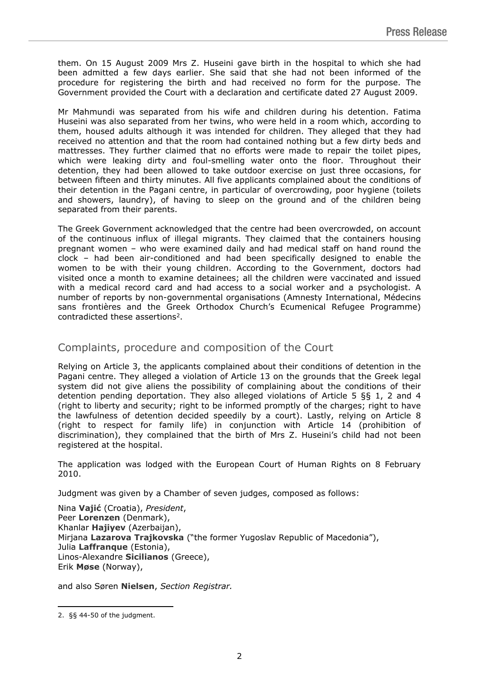them. On 15 August 2009 Mrs Z. Huseini gave birth in the hospital to which she had been admitted a few days earlier. She said that she had not been informed of the procedure for registering the birth and had received no form for the purpose. The Government provided the Court with a declaration and certificate dated 27 August 2009.

Mr Mahmundi was separated from his wife and children during his detention. Fatima Huseini was also separated from her twins, who were held in a room which, according to them, housed adults although it was intended for children. They alleged that they had received no attention and that the room had contained nothing but a few dirty beds and mattresses. They further claimed that no efforts were made to repair the toilet pipes, which were leaking dirty and foul-smelling water onto the floor. Throughout their detention, they had been allowed to take outdoor exercise on just three occasions, for between fifteen and thirty minutes. All five applicants complained about the conditions of their detention in the Pagani centre, in particular of overcrowding, poor hygiene (toilets and showers, laundry), of having to sleep on the ground and of the children being separated from their parents.

The Greek Government acknowledged that the centre had been overcrowded, on account of the continuous influx of illegal migrants. They claimed that the containers housing pregnant women – who were examined daily and had medical staff on hand round the clock – had been air-conditioned and had been specifically designed to enable the women to be with their young children. According to the Government, doctors had visited once a month to examine detainees; all the children were vaccinated and issued with a medical record card and had access to a social worker and a psychologist. A number of reports by non-governmental organisations (Amnesty International, Médecins sans frontières and the Greek Orthodox Church's Ecumenical Refugee Programme) contradicted these assertions<sup>2</sup>.

## Complaints, procedure and composition of the Court

Relying on Article 3, the applicants complained about their conditions of detention in the Pagani centre. They alleged a violation of Article 13 on the grounds that the Greek legal system did not give aliens the possibility of complaining about the conditions of their detention pending deportation. They also alleged violations of Article 5 §§ 1, 2 and 4 (right to liberty and security; right to be informed promptly of the charges; right to have the lawfulness of detention decided speedily by a court). Lastly, relying on Article 8 (right to respect for family life) in conjunction with Article 14 (prohibition of discrimination), they complained that the birth of Mrs Z. Huseini's child had not been registered at the hospital.

The application was lodged with the European Court of Human Rights on 8 February 2010.

Judgment was given by a Chamber of seven judges, composed as follows:

Nina **Vajić** (Croatia), *President*, Peer **Lorenzen** (Denmark), Khanlar **Hajiyev** (Azerbaijan), Mirjana **Lazarova Trajkovska** ("the former Yugoslav Republic of Macedonia"), Julia **Laffranque** (Estonia), Linos-Alexandre **Sicilianos** (Greece), Erik **Møse** (Norway),

and also Søren **Nielsen**, *Section Registrar.*

<sup>2.</sup> §§ 44-50 of the judgment.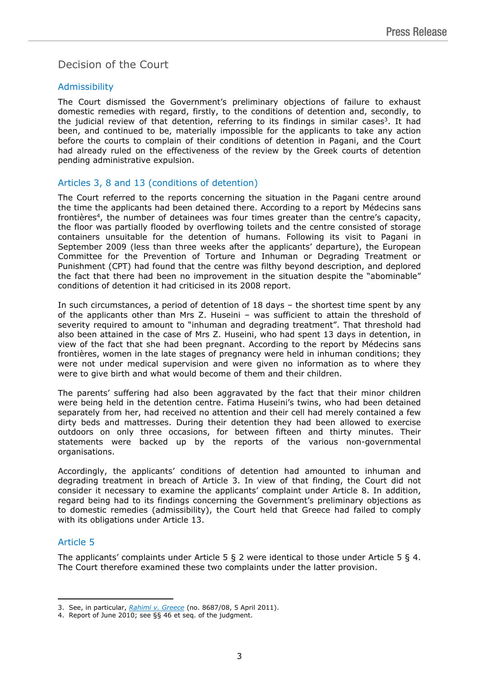## Decision of the Court

#### Admissibility

The Court dismissed the Government's preliminary objections of failure to exhaust domestic remedies with regard, firstly, to the conditions of detention and, secondly, to the judicial review of that detention, referring to its findings in similar cases<sup>3</sup>. It had been, and continued to be, materially impossible for the applicants to take any action before the courts to complain of their conditions of detention in Pagani, and the Court had already ruled on the effectiveness of the review by the Greek courts of detention pending administrative expulsion.

#### Articles 3, 8 and 13 (conditions of detention)

The Court referred to the reports concerning the situation in the Pagani centre around the time the applicants had been detained there. According to a report by Médecins sans frontières <sup>4</sup> , the number of detainees was four times greater than the centre's capacity, the floor was partially flooded by overflowing toilets and the centre consisted of storage containers unsuitable for the detention of humans. Following its visit to Pagani in September 2009 (less than three weeks after the applicants' departure), the European Committee for the Prevention of Torture and Inhuman or Degrading Treatment or Punishment (CPT) had found that the centre was filthy beyond description, and deplored the fact that there had been no improvement in the situation despite the "abominable" conditions of detention it had criticised in its 2008 report.

In such circumstances, a period of detention of 18 days – the shortest time spent by any of the applicants other than Mrs Z. Huseini – was sufficient to attain the threshold of severity required to amount to "inhuman and degrading treatment". That threshold had also been attained in the case of Mrs Z. Huseini, who had spent 13 days in detention, in view of the fact that she had been pregnant. According to the report by Médecins sans frontières, women in the late stages of pregnancy were held in inhuman conditions; they were not under medical supervision and were given no information as to where they were to give birth and what would become of them and their children.

The parents' suffering had also been aggravated by the fact that their minor children were being held in the detention centre. Fatima Huseini's twins, who had been detained separately from her, had received no attention and their cell had merely contained a few dirty beds and mattresses. During their detention they had been allowed to exercise outdoors on only three occasions, for between fifteen and thirty minutes. Their statements were backed up by the reports of the various non-governmental organisations.

Accordingly, the applicants' conditions of detention had amounted to inhuman and degrading treatment in breach of Article 3. In view of that finding, the Court did not consider it necessary to examine the applicants' complaint under Article 8. In addition, regard being had to its findings concerning the Government's preliminary objections as<br>to domestic remedies (admissibility), the Court held that Greece had failed to comply the Court held that Greece had failed to comply with its obligations under Article 13.

## Article 5

The applicants' complaints under Article  $5 \& 2$  were identical to those under Article  $5 \& 4$ . The Court therefore examined these two complaints under the latter provision.

<sup>3.</sup> See, in particular, [Rahimi](http://hudoc.echr.coe.int/sites/eng/pages/search.aspx?i=001-104366) [v.](http://hudoc.echr.coe.int/sites/eng/pages/search.aspx?i=001-104366) [Greece](http://hudoc.echr.coe.int/sites/eng/pages/search.aspx?i=001-104366) (no. 8687/08, 5 April 2011).

<sup>4.</sup> Report of June 2010; see §§ 46 et seq. of the judgment.